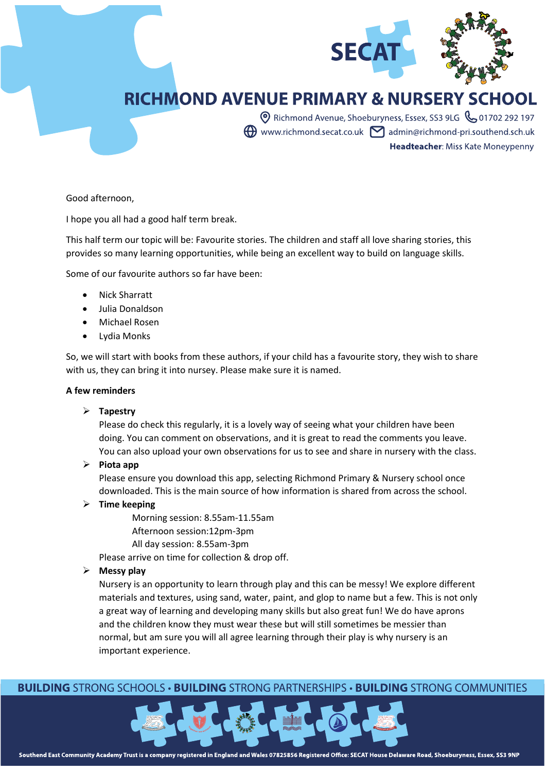

# **RICHMOND AVENUE PRIMARY & NURSERY SCHOOL**

**O** Richmond Avenue, Shoeburyness, Essex, SS3 9LG & 01702 292 197  $\bigoplus$  www.richmond.secat.co.uk  $\bigcap$  admin@richmond-pri.southend.sch.uk Headteacher: Miss Kate Moneypenny

Good afternoon,

I hope you all had a good half term break.

This half term our topic will be: Favourite stories. The children and staff all love sharing stories, this provides so many learning opportunities, while being an excellent way to build on language skills.

Some of our favourite authors so far have been:

- Nick Sharratt
- Julia Donaldson
- Michael Rosen
- Lydia Monks

So, we will start with books from these authors, if your child has a favourite story, they wish to share with us, they can bring it into nursey. Please make sure it is named.

#### **A few reminders**

#### ➢ **Tapestry**

Please do check this regularly, it is a lovely way of seeing what your children have been doing. You can comment on observations, and it is great to read the comments you leave. You can also upload your own observations for us to see and share in nursery with the class.

➢ **Piota app**

Please ensure you download this app, selecting Richmond Primary & Nursery school once downloaded. This is the main source of how information is shared from across the school.

- ➢ **Time keeping**
	- Morning session: 8.55am-11.55am
	- Afternoon session:12pm-3pm
	- All day session: 8.55am-3pm

Please arrive on time for collection & drop off.

### ➢ **Messy play**

Nursery is an opportunity to learn through play and this can be messy! We explore different materials and textures, using sand, water, paint, and glop to name but a few. This is not only a great way of learning and developing many skills but also great fun! We do have aprons and the children know they must wear these but will still sometimes be messier than normal, but am sure you will all agree learning through their play is why nursery is an important experience.

# **BUILDING STRONG SCHOOLS • BUILDING STRONG PARTNERSHIPS • BUILDING STRONG COMMUNITIES**